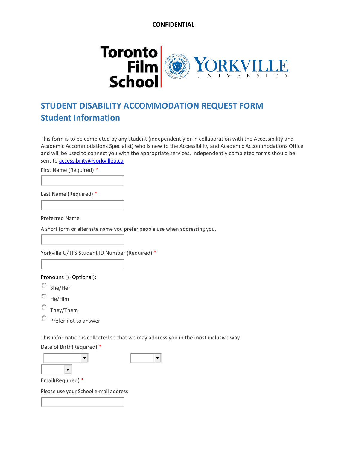

# **STUDENT DISABILITY ACCOMMODATION REQUEST FORM Student Information**

This form is to be completed by any student (independently or in collaboration with the Accessibility and Academic Accommodations Specialist) who is new to the Accessibility and Academic Accommodations Office and will be used to connect you with the appropriate services. Independently completed forms should be sent to [accessibility@yorkvilleu.ca.](mailto:accessibility@yorkvilleu.ca)

First Name (Required) \*

Last Name (Required) \*

Preferred Name

A short form or alternate name you prefer people use when addressing you.

Yorkville U/TFS Student ID Number (Required) \*

Pronouns () (Optional):

 $O$  She/Her

He/Him

They/Them

0. Prefer not to answer

This information is collected so that we may address you in the most inclusive way.

Date of Birth(Required) \*



Email(Required) \*

Please use your School e-mail address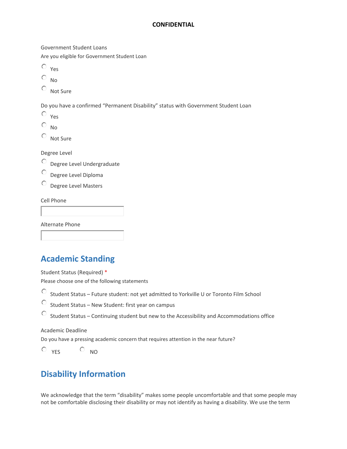Government Student Loans

Are you eligible for Government Student Loan

- 0. Yes
- $\circ$  $N<sub>0</sub>$
- C Not Sure

Do you have a confirmed "Permanent Disability" status with Government Student Loan

- 0 Yes
- Ō No
- C Not Sure

Degree Level

- О. Degree Level Undergraduate
- Ο. Degree Level Diploma
- $\overline{\circ}$  Degree Level Masters

Cell Phone

Alternate Phone

## **Academic Standing**

Student Status (Required) \*

Please choose one of the following statements

Student Status – Future student: not yet admitted to Yorkville U or Toronto Film School

O Student Status – New Student: first year on campus

O Student Status – Continuing student but new to the Accessibility and Accommodations office

Academic Deadline

Do you have a pressing academic concern that requires attention in the near future?

 $O_{YFS}$   $O_{NO}$ 

## **Disability Information**

We acknowledge that the term "disability" makes some people uncomfortable and that some people may not be comfortable disclosing their disability or may not identify as having a disability. We use the term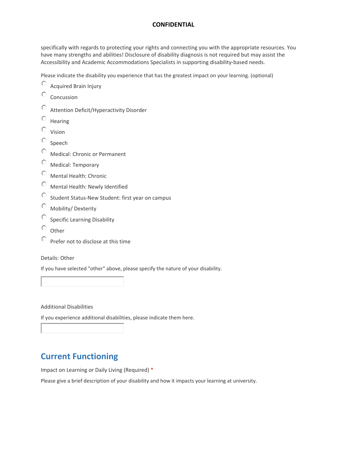specifically with regards to protecting your rights and connecting you with the appropriate resources. You have many strengths and abilities! Disclosure of disability diagnosis is not required but may assist the Accessibility and Academic Accommodations Specialists in supporting disability-based needs.

Please indicate the disability you experience that has the greatest impact on your learning. (optional)

- $\bigcirc$ Acquired Brain Injury
- 0 Concussion
- Ō Attention Deficit/Hyperactivity Disorder
- Ō Hearing
- 0. Vision
- Ō Speech
- Ō Medical: Chronic or Permanent
- Ō Medical: Temporary
- Ō Mental Health: Chronic
- 0 Mental Health: Newly Identified
- O Student Status-New Student: first year on campus
- Ō Mobility/ Dexterity
- O Specific Learning Disability
- $\circ$ **Other**
- Ō Prefer not to disclose at this time

Details: Other

If you have selected "other" above, please specify the nature of your disability.

Additional Disabilities

If you experience additional disabilities, please indicate them here.

# **Current Functioning**

Impact on Learning or Daily Living (Required) \*

Please give a brief description of your disability and how it impacts your learning at university.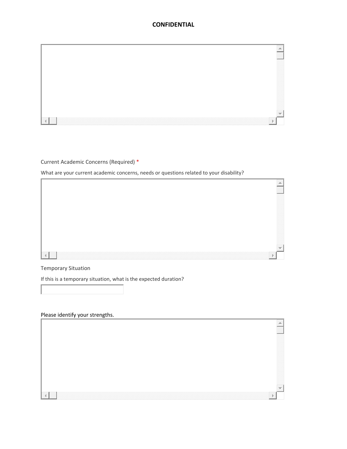

#### Current Academic Concerns (Required) \*

What are your current academic concerns, needs or questions related to your disability?



#### Temporary Situation

If this is a temporary situation, what is the expected duration?

#### Please identify your strengths.

|   | $\overline{\phantom{a}}$<br>__ |  |
|---|--------------------------------|--|
| Þ |                                |  |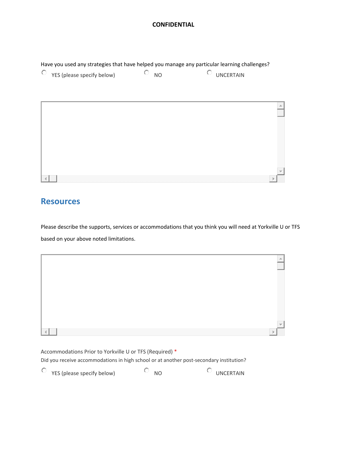Have you used any strategies that have helped you manage any particular learning challenges?



## **Resources**

Please describe the supports, services or accommodations that you think you will need at Yorkville U or TFS based on your above noted limitations.

| Accommodations Prior to Yorkville U or TFS (Required) *<br>Did you receive accommodations in high school or at another post-secondary institution? |           |           |  |
|----------------------------------------------------------------------------------------------------------------------------------------------------|-----------|-----------|--|
| YES (please specify below)                                                                                                                         | <b>NO</b> | UNCERTAIN |  |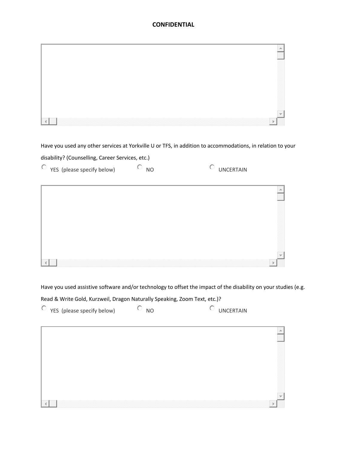Have you used any other services at Yorkville U or TFS, in addition to accommodations, in relation to your

disability? (Counselling, Career Services, etc.)

| $\circ$ YES (please specify below) | 0.<br><b>NO</b> | Ō<br><b>UNCERTAIN</b> |
|------------------------------------|-----------------|-----------------------|
|                                    |                 | $\triangleq$          |
|                                    |                 |                       |
|                                    |                 |                       |
|                                    |                 |                       |
|                                    |                 |                       |
|                                    |                 |                       |

Have you used assistive software and/or technology to offset the impact of the disability on your studies (e.g.

Read & Write Gold, Kurzweil, Dragon Naturally Speaking, Zoom Text, etc.)?

| $\circ$ YES (please specify below) | o<br><b>NO</b> | O<br><b>UNCERTAIN</b> |
|------------------------------------|----------------|-----------------------|
|                                    |                |                       |
|                                    |                |                       |
|                                    |                |                       |
|                                    |                |                       |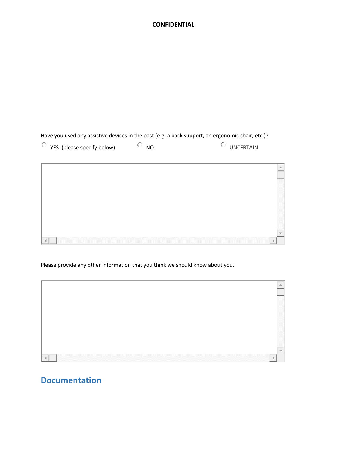Have you used any assistive devices in the past (e.g. a back support, an ergonomic chair, etc.)?

| $\vee$ YES (please specify below) | NC | UNCERTAIN |
|-----------------------------------|----|-----------|
|-----------------------------------|----|-----------|

| Δ. |
|----|
|    |
|    |
|    |
|    |
|    |
|    |
|    |
|    |
|    |
|    |
|    |
|    |
|    |
|    |
|    |

Please provide any other information that you think we should know about you.

## **Documentation**